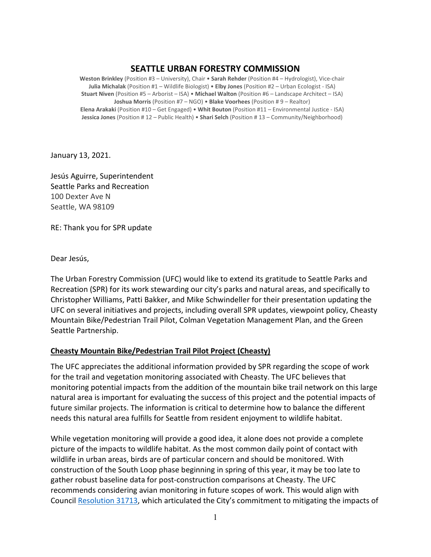## **SEATTLE URBAN FORESTRY COMMISSION**

**Weston Brinkley** (Position #3 – University), Chair • **Sarah Rehder** (Position #4 – Hydrologist), Vice-chair **Julia Michalak** (Position #1 – Wildlife Biologist) • **Elby Jones** (Position #2 – Urban Ecologist - ISA) **Stuart Niven** (Position #5 – Arborist – ISA) • **Michael Walton** (Position #6 – Landscape Architect – ISA) **Joshua Morris** (Position #7 – NGO) • **Blake Voorhees** (Position # 9 – Realtor) **Elena Arakaki** (Position #10 – Get Engaged) • **Whit Bouton** (Position #11 – Environmental Justice - ISA) **Jessica Jones** (Position # 12 – Public Health) • **Shari Selch** (Position # 13 – Community/Neighborhood)

January 13, 2021.

Jesús Aguirre, Superintendent Seattle Parks and Recreation 100 Dexter Ave N Seattle, WA 98109

RE: Thank you for SPR update

Dear Jesús,

The Urban Forestry Commission (UFC) would like to extend its gratitude to Seattle Parks and Recreation (SPR) for its work stewarding our city's parks and natural areas, and specifically to Christopher Williams, Patti Bakker, and Mike Schwindeller for their presentation updating the UFC on several initiatives and projects, including overall SPR updates, viewpoint policy, Cheasty Mountain Bike/Pedestrian Trail Pilot, Colman Vegetation Management Plan, and the Green Seattle Partnership.

## **Cheasty Mountain Bike/Pedestrian Trail Pilot Project (Cheasty)**

The UFC appreciates the additional information provided by SPR regarding the scope of work for the trail and vegetation monitoring associated with Cheasty. The UFC believes that monitoring potential impacts from the addition of the mountain bike trail network on this large natural area is important for evaluating the success of this project and the potential impacts of future similar projects. The information is critical to determine how to balance the different needs this natural area fulfills for Seattle from resident enjoyment to wildlife habitat.

While vegetation monitoring will provide a good idea, it alone does not provide a complete picture of the impacts to wildlife habitat. As the most common daily point of contact with wildlife in urban areas, birds are of particular concern and should be monitored. With construction of the South Loop phase beginning in spring of this year, it may be too late to gather robust baseline data for post-construction comparisons at Cheasty. The UFC recommends considering avian monitoring in future scopes of work. This would align with Council [Resolution](https://seattle.legistar.com/ViewReport.ashx?M=R&N=Text&GID=393&ID=2594724&GUID=8A2E2EC7-B085-4606-AA88-BED34A8B901A&Title=Legislation+Text) 31713, which articulated the City's commitment to mitigating the impacts of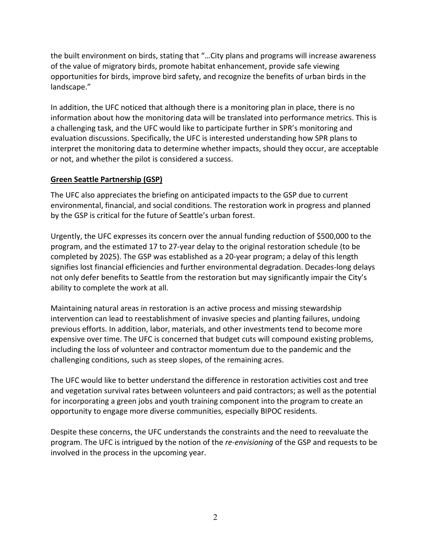the built environment on birds, stating that "…City plans and programs will increase awareness of the value of migratory birds, promote habitat enhancement, provide safe viewing opportunities for birds, improve bird safety, and recognize the benefits of urban birds in the landscape."

In addition, the UFC noticed that although there is a monitoring plan in place, there is no information about how the monitoring data will be translated into performance metrics. This is a challenging task, and the UFC would like to participate further in SPR's monitoring and evaluation discussions. Specifically, the UFC is interested understanding how SPR plans to interpret the monitoring data to determine whether impacts, should they occur, are acceptable or not, and whether the pilot is considered a success.

## **Green Seattle Partnership (GSP)**

The UFC also appreciates the briefing on anticipated impacts to the GSP due to current environmental, financial, and social conditions. The restoration work in progress and planned by the GSP is critical for the future of Seattle's urban forest.

Urgently, the UFC expresses its concern over the annual funding reduction of \$500,000 to the program, and the estimated 17 to 27-year delay to the original restoration schedule (to be completed by 2025). The GSP was established as a 20-year program; a delay of this length signifies lost financial efficiencies and further environmental degradation. Decades-long delays not only defer benefits to Seattle from the restoration but may significantly impair the City's ability to complete the work at all.

Maintaining natural areas in restoration is an active process and missing stewardship intervention can lead to reestablishment of invasive species and planting failures, undoing previous efforts. In addition, labor, materials, and other investments tend to become more expensive over time. The UFC is concerned that budget cuts will compound existing problems, including the loss of volunteer and contractor momentum due to the pandemic and the challenging conditions, such as steep slopes, of the remaining acres.

The UFC would like to better understand the difference in restoration activities cost and tree and vegetation survival rates between volunteers and paid contractors; as well as the potential for incorporating a green jobs and youth training component into the program to create an opportunity to engage more diverse communities, especially BIPOC residents.

Despite these concerns, the UFC understands the constraints and the need to reevaluate the program. The UFC is intrigued by the notion of the *re-envisioning* of the GSP and requests to be involved in the process in the upcoming year.